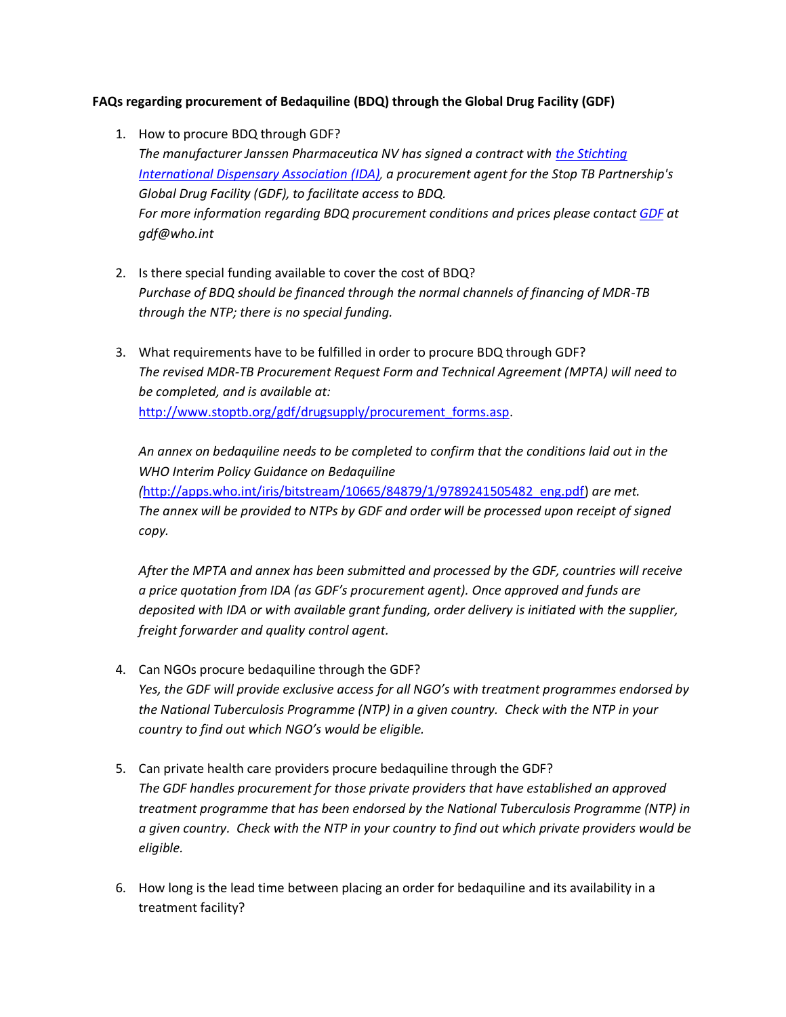## **FAQs regarding procurement of Bedaquiline (BDQ) through the Global Drug Facility (GDF)**

- 1. How to procure BDQ through GDF? *The manufacturer Janssen Pharmaceutica NV has signed a contract with [the Stichting](http://www.ida.nl/) [International Dispensary Association](http://www.ida.nl/) (IDA), a procurement agent for the Stop TB Partnership's Global Drug Facility (GDF), to facilitate access to BDQ. For more information regarding BDQ procurement conditions and prices please contac[t GDF](http://www.stoptb.org/gdf/) at gdf@who.int*
- 2. Is there special funding available to cover the cost of BDQ? *Purchase of BDQ should be financed through the normal channels of financing of MDR-TB through the NTP; there is no special funding.*
- 3. What requirements have to be fulfilled in order to procure BDQ through GDF? *The revised MDR-TB Procurement Request Form and Technical Agreement (MPTA) will need to be completed, and is available at:* [http://www.stoptb.org/gdf/drugsupply/procurement\\_forms.asp.](http://www.stoptb.org/gdf/drugsupply/procurement_forms.asp)

*An annex on bedaquiline needs to be completed to confirm that the conditions laid out in the WHO Interim Policy Guidance on Bedaquiline (*[http://apps.who.int/iris/bitstream/10665/84879/1/9789241505482\\_eng.pdf\)](http://apps.who.int/iris/bitstream/10665/84879/1/9789241505482_eng.pdf) *are met.*  The annex will be provided to NTPs by GDF and order will be processed upon receipt of signed *copy.*

*After the MPTA and annex has been submitted and processed by the GDF, countries will receive a price quotation from IDA (as GDF's procurement agent). Once approved and funds are deposited with IDA or with available grant funding, order delivery is initiated with the supplier, freight forwarder and quality control agent.*

- 4. Can NGOs procure bedaquiline through the GDF? *Yes, the GDF will provide exclusive access for all NGO's with treatment programmes endorsed by the National Tuberculosis Programme (NTP) in a given country. Check with the NTP in your country to find out which NGO's would be eligible.*
- 5. Can private health care providers procure bedaquiline through the GDF? *The GDF handles procurement for those private providers that have established an approved treatment programme that has been endorsed by the National Tuberculosis Programme (NTP) in a given country. Check with the NTP in your country to find out which private providers would be eligible.*
- 6. How long is the lead time between placing an order for bedaquiline and its availability in a treatment facility?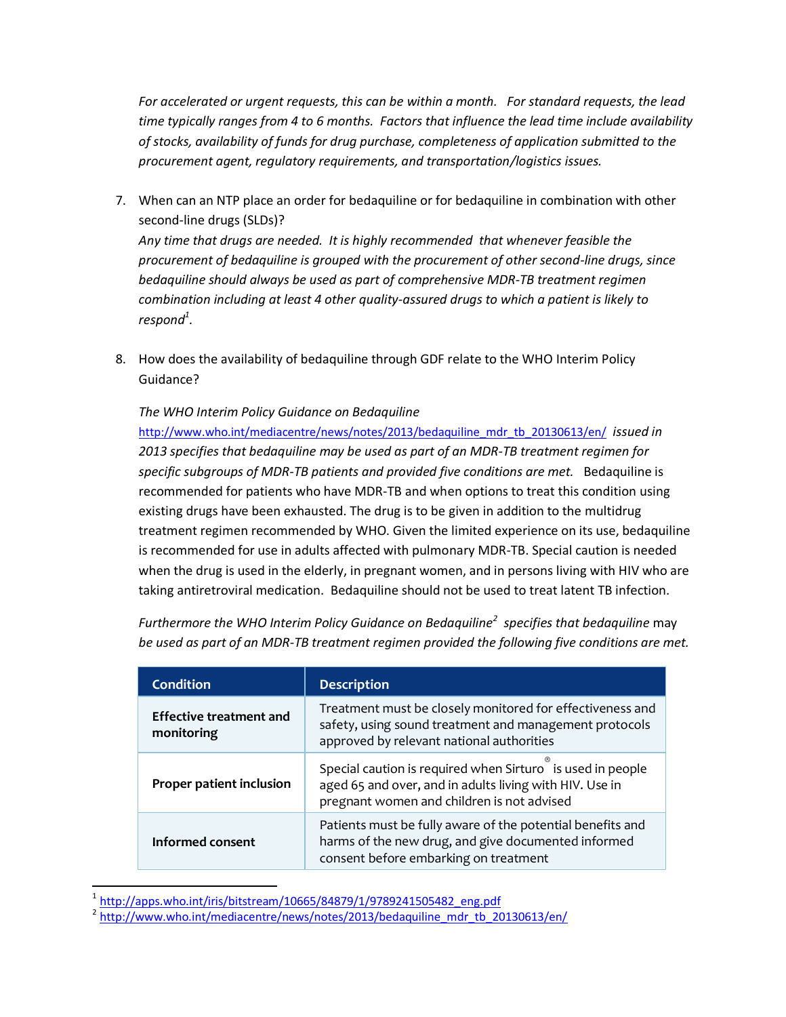*For accelerated or urgent requests, this can be within a month. For standard requests, the lead time typically ranges from 4 to 6 months. Factors that influence the lead time include availability of stocks, availability of funds for drug purchase, completeness of application submitted to the procurement agent, regulatory requirements, and transportation/logistics issues.* 

7. When can an NTP place an order for bedaquiline or for bedaquiline in combination with other second-line drugs (SLDs)?

*Any time that drugs are needed. It is highly recommended that whenever feasible the procurement of bedaquiline is grouped with the procurement of other second-line drugs, since bedaquiline should always be used as part of comprehensive MDR-TB treatment regimen combination including at least 4 other quality-assured drugs to which a patient is likely to respond<sup>1</sup> .* 

8. How does the availability of bedaquiline through GDF relate to the WHO Interim Policy Guidance?

## *The WHO Interim Policy Guidance on Bedaquiline*

[http://www.who.int/mediacentre/news/notes/2013/bedaquiline\\_mdr\\_tb\\_20130613/en/](https://vamail.msh.org/owa/redir.aspx?C=YNtCBWqjA0egZc_KG1KjZKGN1S4FONEIy7pFWkFsC8Lqq9Q19Xa1_dz7R99Eg6jzLfoUQz2UE5M.&URL=http%3a%2f%2fwww.who.int%2fmediacentre%2fnews%2fnotes%2f2013%2fbedaquiline_mdr_tb_20130613%2fen%2f) *issued in 2013 specifies that bedaquiline may be used as part of an MDR-TB treatment regimen for specific subgroups of MDR-TB patients and provided five conditions are met.* Bedaquiline is recommended for patients who have MDR-TB and when options to treat this condition using existing drugs have been exhausted. The drug is to be given in addition to the multidrug treatment regimen recommended by WHO. Given the limited experience on its use, bedaquiline is recommended for use in adults affected with pulmonary MDR-TB. Special caution is needed when the drug is used in the elderly, in pregnant women, and in persons living with HIV who are taking antiretroviral medication. Bedaquiline should not be used to treat latent TB infection.

*Furthermore the WHO Interim Policy Guidance on Bedaquiline<sup>2</sup> specifies that bedaquiline* may *be used as part of an MDR-TB treatment regimen provided the following five conditions are met.* 

| <b>Condition</b>                             | <b>Description</b>                                                                                                                                                  |
|----------------------------------------------|---------------------------------------------------------------------------------------------------------------------------------------------------------------------|
| <b>Effective treatment and</b><br>monitoring | Treatment must be closely monitored for effectiveness and<br>safety, using sound treatment and management protocols<br>approved by relevant national authorities    |
| Proper patient inclusion                     | Special caution is required when Sirturo is used in people<br>aged 65 and over, and in adults living with HIV. Use in<br>pregnant women and children is not advised |
| Informed consent                             | Patients must be fully aware of the potential benefits and<br>harms of the new drug, and give documented informed<br>consent before embarking on treatment          |

 1 [http://apps.who.int/iris/bitstream/10665/84879/1/9789241505482\\_eng.pdf](http://apps.who.int/iris/bitstream/10665/84879/1/9789241505482_eng.pdf)

<sup>&</sup>lt;sup>2</sup> [http://www.who.int/mediacentre/news/notes/2013/bedaquiline\\_mdr\\_tb\\_20130613/en/](http://www.who.int/mediacentre/news/notes/2013/bedaquiline_mdr_tb_20130613/en/)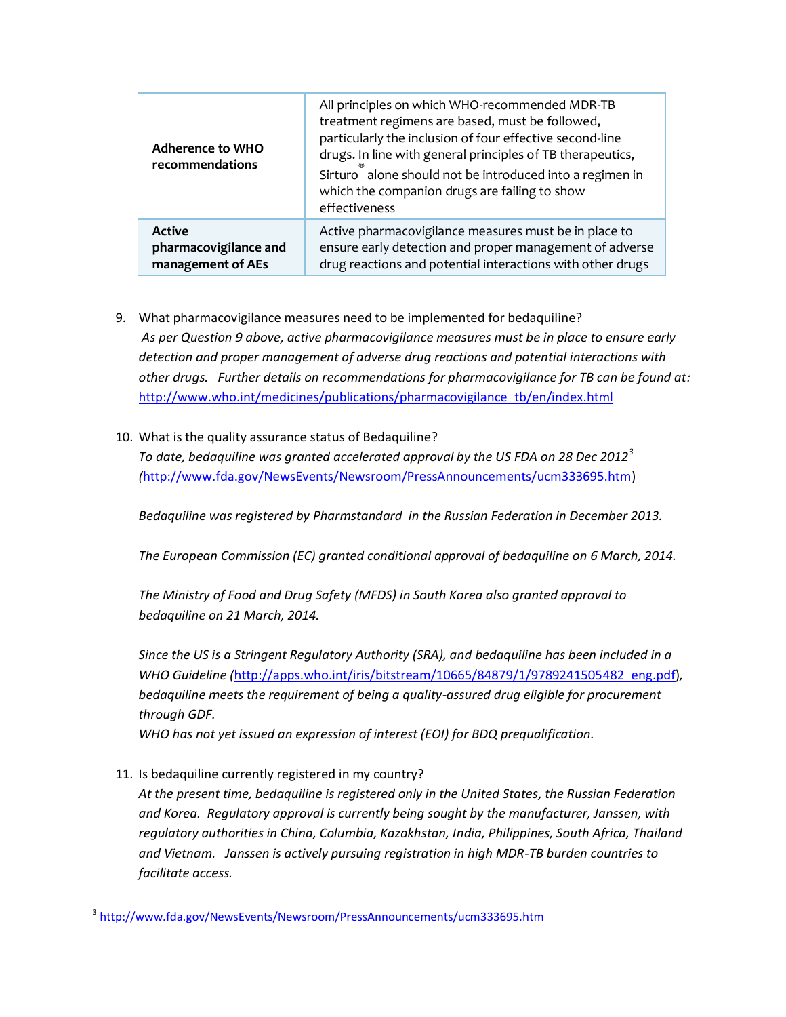| Adherence to WHO<br>recommendations | All principles on which WHO-recommended MDR-TB<br>treatment regimens are based, must be followed,<br>particularly the inclusion of four effective second-line<br>drugs. In line with general principles of TB therapeutics,<br>Sirturo alone should not be introduced into a regimen in<br>which the companion drugs are failing to show<br>effectiveness |
|-------------------------------------|-----------------------------------------------------------------------------------------------------------------------------------------------------------------------------------------------------------------------------------------------------------------------------------------------------------------------------------------------------------|
| <b>Active</b>                       | Active pharmacovigilance measures must be in place to                                                                                                                                                                                                                                                                                                     |
| pharmacovigilance and               | ensure early detection and proper management of adverse                                                                                                                                                                                                                                                                                                   |
| management of AEs                   | drug reactions and potential interactions with other drugs                                                                                                                                                                                                                                                                                                |

- 9. What pharmacovigilance measures need to be implemented for bedaquiline? *As per Question 9 above, active pharmacovigilance measures must be in place to ensure early detection and proper management of adverse drug reactions and potential interactions with other drugs. Further details on recommendations for pharmacovigilance for TB can be found at:*  [http://www.who.int/medicines/publications/pharmacovigilance\\_tb/en/index.html](http://www.who.int/medicines/publications/pharmacovigilance_tb/en/index.html)
- 10. What is the quality assurance status of Bedaquiline?

*To date, bedaquiline was granted accelerated approval by the US FDA on 28 Dec 2012<sup>3</sup> (*[http://www.fda.gov/NewsEvents/Newsroom/PressAnnouncements/ucm333695.htm\)](http://www.fda.gov/NewsEvents/Newsroom/PressAnnouncements/ucm333695.htm)

*Bedaquiline was registered by Pharmstandard in the Russian Federation in December 2013.*

*The European Commission (EC) granted conditional approval of bedaquiline on 6 March, 2014.*

*The Ministry of Food and Drug Safety (MFDS) in South Korea also granted approval to bedaquiline on 21 March, 2014.* 

*Since the US is a Stringent Regulatory Authority (SRA), and bedaquiline has been included in a WHO Guideline (*[http://apps.who.int/iris/bitstream/10665/84879/1/9789241505482\\_eng.pdf\)](http://apps.who.int/iris/bitstream/10665/84879/1/9789241505482_eng.pdf)*, bedaquiline meets the requirement of being a quality-assured drug eligible for procurement through GDF.* 

*WHO has not yet issued an expression of interest (EOI) for BDQ prequalification.* 

11. Is bedaquiline currently registered in my country?

 $\overline{\phantom{a}}$ 

*At the present time, bedaquiline is registered only in the United States, the Russian Federation and Korea. Regulatory approval is currently being sought by the manufacturer, Janssen, with regulatory authorities in China, Columbia, Kazakhstan, India, Philippines, South Africa, Thailand and Vietnam. Janssen is actively pursuing registration in high MDR-TB burden countries to facilitate access.* 

<sup>3</sup> <http://www.fda.gov/NewsEvents/Newsroom/PressAnnouncements/ucm333695.htm>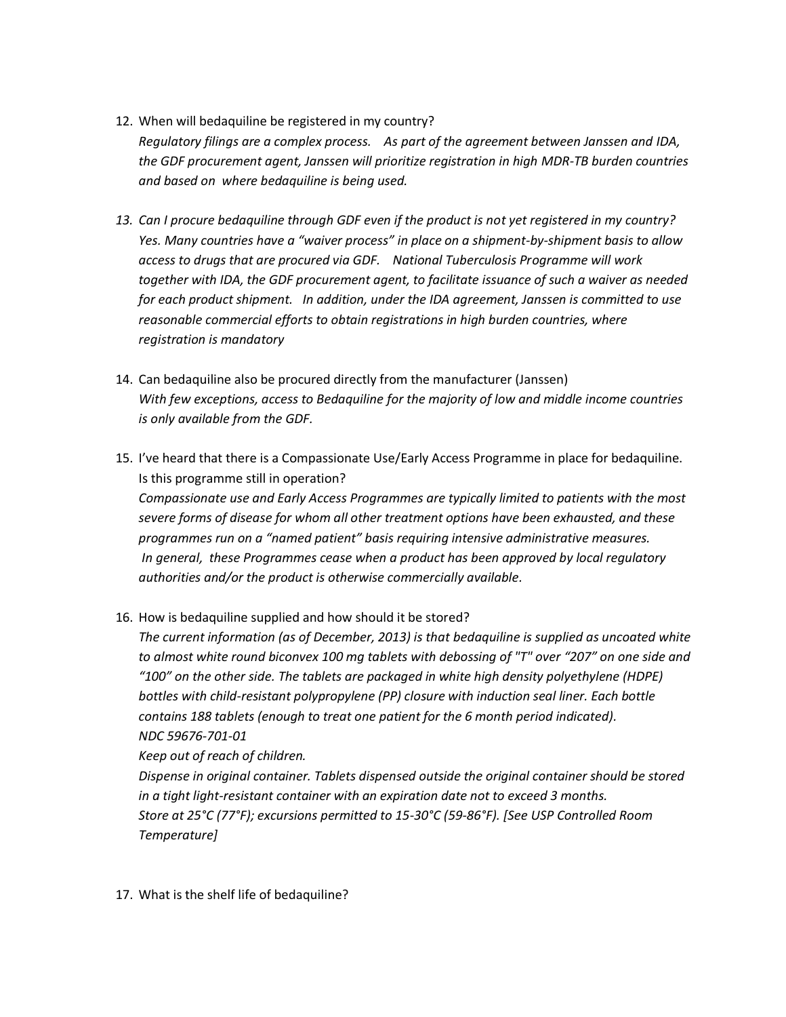- 12. When will bedaquiline be registered in my country? *Regulatory filings are a complex process. As part of the agreement between Janssen and IDA, the GDF procurement agent, Janssen will prioritize registration in high MDR-TB burden countries and based on where bedaquiline is being used.*
- *13. Can I procure bedaquiline through GDF even if the product is not yet registered in my country? Yes. Many countries have a "waiver process" in place on a shipment-by-shipment basis to allow access to drugs that are procured via GDF. National Tuberculosis Programme will work together with IDA, the GDF procurement agent, to facilitate issuance of such a waiver as needed for each product shipment. In addition, under the IDA agreement, Janssen is committed to use reasonable commercial efforts to obtain registrations in high burden countries, where registration is mandatory*
- 14. Can bedaquiline also be procured directly from the manufacturer (Janssen) *With few exceptions, access to Bedaquiline for the majority of low and middle income countries is only available from the GDF.*
- 15. I've heard that there is a Compassionate Use/Early Access Programme in place for bedaquiline. Is this programme still in operation? *Compassionate use and Early Access Programmes are typically limited to patients with the most severe forms of disease for whom all other treatment options have been exhausted, and these programmes run on a "named patient" basis requiring intensive administrative measures. In general, these Programmes cease when a product has been approved by local regulatory authorities and/or the product is otherwise commercially available.*
- 16. How is bedaquiline supplied and how should it be stored?

*The current information (as of December, 2013) is that bedaquiline is supplied as uncoated white to almost white round biconvex 100 mg tablets with debossing of "T" over "207" on one side and "100" on the other side. The tablets are packaged in white high density polyethylene (HDPE) bottles with child-resistant polypropylene (PP) closure with induction seal liner. Each bottle contains 188 tablets (enough to treat one patient for the 6 month period indicated). NDC 59676-701-01* 

*Keep out of reach of children.* 

*Dispense in original container. Tablets dispensed outside the original container should be stored in a tight light-resistant container with an expiration date not to exceed 3 months. Store at 25°C (77°F); excursions permitted to 15-30°C (59-86°F). [See USP Controlled Room Temperature]*

17. What is the shelf life of bedaquiline?